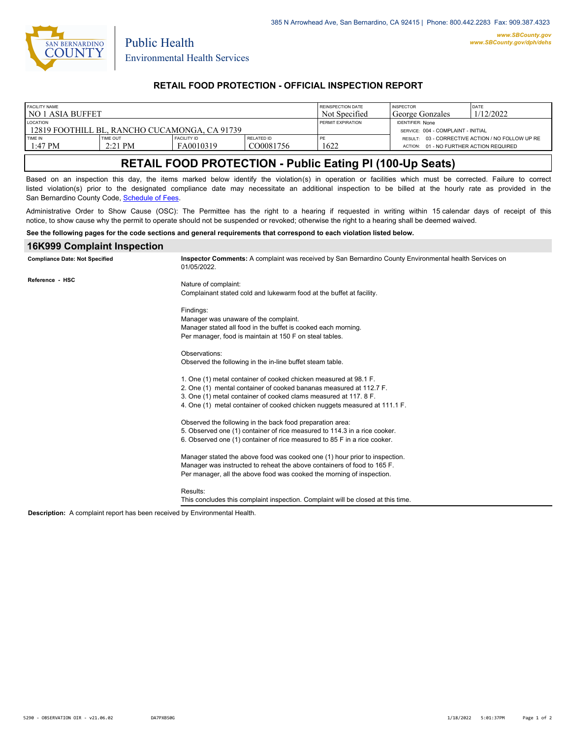

 **16K999 Complaint Inspection**

Public Health

## **RETAIL FOOD PROTECTION - OFFICIAL INSPECTION REPORT**

| FACILITY NAME                                                      |           |                    |            | <b>REINSPECTION DATE</b> | <b>INSPECTOR</b>                                              | <b>IDATE</b> |
|--------------------------------------------------------------------|-----------|--------------------|------------|--------------------------|---------------------------------------------------------------|--------------|
| l no 1 asia buffet                                                 |           |                    |            | Not Specified            | George Gonzales                                               | 1/12/2022    |
| <b>LOCATION</b><br>l 12819 foothill bl. Rancho Cucamonga. Ca 91739 |           |                    |            | PERMIT EXPIRATION        | <b>IDENTIFIER: None</b><br>SERVICE: 004 - COMPLAINT - INITIAL |              |
| TIME IN                                                            | TIME OUT  | <b>FACILITY ID</b> | RELATED ID | 1622                     | RESULT: 03 - CORRECTIVE ACTION / NO FOLLOW UP RE              |              |
| 1:47 PM                                                            | $2:21$ PM | FA0010319          | CO0081756  |                          | ACTION: 01 - NO FURTHER ACTION REQUIRED                       |              |

# **RETAIL FOOD PROTECTION - Public Eating Pl (100-Up Seats)**

Based on an inspection this day, the items marked below identify the violation(s) in operation or facilities which must be corrected. Failure to correct listed violation(s) prior to the designated compliance date may necessitate an additional inspection to be billed at the hourly rate as provided in the San Bernardino County Code, Sc[hedule of Fees.](https://codelibrary.amlegal.com/codes/sanbernardino/latest/sanberncty_ca/0-0-0-122474#JD_16.0213B)

Administrative Order to Show Cause (OSC): The Permittee has the right to a hearing if requested in writing within 15 calendar days of receipt of this notice, to show cause why the permit to operate should not be suspended or revoked; otherwise the right to a hearing shall be deemed waived.

#### **See the following pages for the code sections and general requirements that correspond to each violation listed below.**

| rurada oompianii mapoonon             |                                                                                                                                                                                                                                                                                         |  |  |
|---------------------------------------|-----------------------------------------------------------------------------------------------------------------------------------------------------------------------------------------------------------------------------------------------------------------------------------------|--|--|
| <b>Compliance Date: Not Specified</b> | Inspector Comments: A complaint was received by San Bernardino County Environmental health Services on<br>01/05/2022.                                                                                                                                                                   |  |  |
| Reference - HSC                       | Nature of complaint:<br>Complainant stated cold and lukewarm food at the buffet at facility.                                                                                                                                                                                            |  |  |
|                                       | Findings:<br>Manager was unaware of the complaint.<br>Manager stated all food in the buffet is cooked each morning.<br>Per manager, food is maintain at 150 F on steal tables.                                                                                                          |  |  |
|                                       | Observations:<br>Observed the following in the in-line buffet steam table.                                                                                                                                                                                                              |  |  |
|                                       | 1. One (1) metal container of cooked chicken measured at 98.1 F.<br>2. One (1) mental container of cooked bananas measured at 112.7 F.<br>3. One (1) metal container of cooked clams measured at 117. 8 F.<br>4. One (1) metal container of cooked chicken nuggets measured at 111.1 F. |  |  |
|                                       | Observed the following in the back food preparation area:<br>5. Observed one (1) container of rice measured to 114.3 in a rice cooker.<br>6. Observed one (1) container of rice measured to 85 F in a rice cooker.                                                                      |  |  |
|                                       | Manager stated the above food was cooked one (1) hour prior to inspection.<br>Manager was instructed to reheat the above containers of food to 165 F.<br>Per manager, all the above food was cooked the morning of inspection.                                                          |  |  |
|                                       | Results:<br>This concludes this complaint inspection. Complaint will be closed at this time.                                                                                                                                                                                            |  |  |

**Description:** A complaint report has been received by Environmental Health.